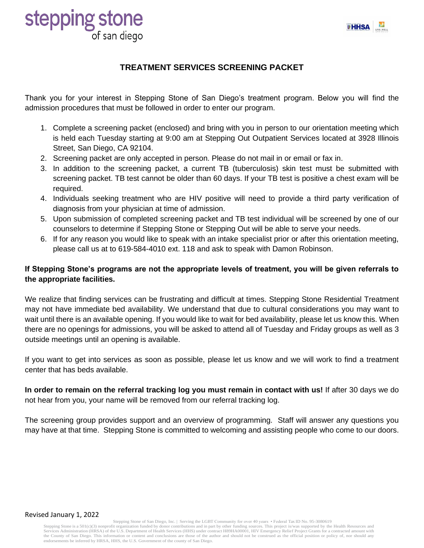

# **stepping stone**<br>
of san diego

#### **TREATMENT SERVICES SCREENING PACKET**

Thank you for your interest in Stepping Stone of San Diego's treatment program. Below you will find the admission procedures that must be followed in order to enter our program.

- 1. Complete a screening packet (enclosed) and bring with you in person to our orientation meeting which is held each Tuesday starting at 9:00 am at Stepping Out Outpatient Services located at 3928 Illinois Street, San Diego, CA 92104.
- 2. Screening packet are only accepted in person. Please do not mail in or email or fax in.
- 3. In addition to the screening packet, a current TB (tuberculosis) skin test must be submitted with screening packet. TB test cannot be older than 60 days. If your TB test is positive a chest exam will be required.
- 4. Individuals seeking treatment who are HIV positive will need to provide a third party verification of diagnosis from your physician at time of admission.
- 5. Upon submission of completed screening packet and TB test individual will be screened by one of our counselors to determine if Stepping Stone or Stepping Out will be able to serve your needs.
- 6. If for any reason you would like to speak with an intake specialist prior or after this orientation meeting, please call us at to 619-584-4010 ext. 118 and ask to speak with Damon Robinson.

#### **If Stepping Stone's programs are not the appropriate levels of treatment, you will be given referrals to the appropriate facilities.**

We realize that finding services can be frustrating and difficult at times. Stepping Stone Residential Treatment may not have immediate bed availability. We understand that due to cultural considerations you may want to wait until there is an available opening. If you would like to wait for bed availability, please let us know this. When there are no openings for admissions, you will be asked to attend all of Tuesday and Friday groups as well as 3 outside meetings until an opening is available.

If you want to get into services as soon as possible, please let us know and we will work to find a treatment center that has beds available.

**In order to remain on the referral tracking log you must remain in contact with us!** If after 30 days we do not hear from you, your name will be removed from our referral tracking log.

The screening group provides support and an overview of programming. Staff will answer any questions you may have at that time. Stepping Stone is committed to welcoming and assisting people who come to our doors.

#### Revised January 1, 2022

Stepping Stone of San Diego, Inc. | Serving the LGBT Community for over 40 years • Federal Tax ID No. 95-3080619<br>Stepping Stone is a 501(c)(3) nonprofit organization funded by donor contributions and in part by other fundi Services Administration (HRSA) of the U.S. Department of Health Services (HHS) under contract H89HA00001, HIV Emergency Relief Project Grants for a contracted amount with the County of San Diego. This information or content and conclusions are those of the author and should not be construed as the official position or policy of, nor should any endorsements be inferred by HRSA, HHS, the U.S. Government of the county of San Diego.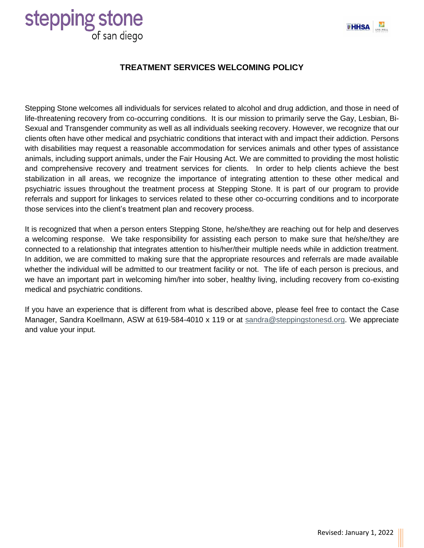

# **stepping stone**

#### **TREATMENT SERVICES WELCOMING POLICY**

Stepping Stone welcomes all individuals for services related to alcohol and drug addiction, and those in need of life-threatening recovery from co-occurring conditions. It is our mission to primarily serve the Gay, Lesbian, Bi-Sexual and Transgender community as well as all individuals seeking recovery. However, we recognize that our clients often have other medical and psychiatric conditions that interact with and impact their addiction. Persons with disabilities may request a reasonable accommodation for services animals and other types of assistance animals, including support animals, under the Fair Housing Act. We are committed to providing the most holistic and comprehensive recovery and treatment services for clients. In order to help clients achieve the best stabilization in all areas, we recognize the importance of integrating attention to these other medical and psychiatric issues throughout the treatment process at Stepping Stone. It is part of our program to provide referrals and support for linkages to services related to these other co-occurring conditions and to incorporate those services into the client's treatment plan and recovery process.

It is recognized that when a person enters Stepping Stone, he/she/they are reaching out for help and deserves a welcoming response. We take responsibility for assisting each person to make sure that he/she/they are connected to a relationship that integrates attention to his/her/their multiple needs while in addiction treatment. In addition, we are committed to making sure that the appropriate resources and referrals are made available whether the individual will be admitted to our treatment facility or not. The life of each person is precious, and we have an important part in welcoming him/her into sober, healthy living, including recovery from co-existing medical and psychiatric conditions.

If you have an experience that is different from what is described above, please feel free to contact the Case Manager, Sandra Koellmann, ASW at 619-584-4010 x 119 or at [sandra@steppingstonesd.org.](mailto:sandra@steppingstonesd.org) We appreciate and value your input.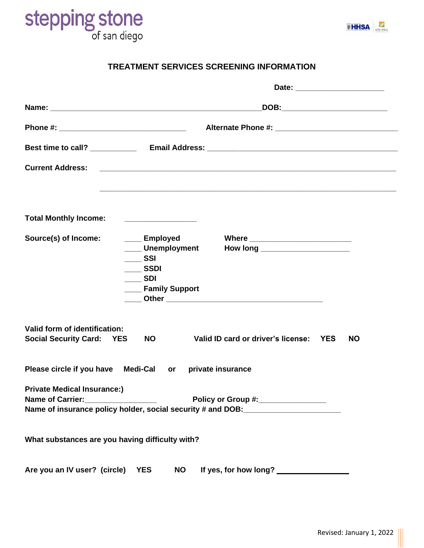



#### **TREATMENT SERVICES SCREENING INFORMATION**

|                                                                                                                                                               | Date: _________________________                                                                                       |  |  |
|---------------------------------------------------------------------------------------------------------------------------------------------------------------|-----------------------------------------------------------------------------------------------------------------------|--|--|
|                                                                                                                                                               |                                                                                                                       |  |  |
|                                                                                                                                                               |                                                                                                                       |  |  |
|                                                                                                                                                               | Best time to call? ______________ Email Address: _______________________________                                      |  |  |
| <b>Current Address:</b>                                                                                                                                       | <u> 1988 - Johann Harry Harry Harry Harry Harry Harry Harry Harry Harry Harry Harry Harry Harry Harry Harry Harry</u> |  |  |
|                                                                                                                                                               |                                                                                                                       |  |  |
| <b>Total Monthly Income:</b>                                                                                                                                  |                                                                                                                       |  |  |
| Source(s) of Income:<br>___ Employed<br>Unemployment<br>$\equiv$ SSI<br>$\overline{\phantom{0}}$ SSDI<br>$\frac{1}{2}$ SDI<br><b>Example 3</b> Family Support | How long _________________________                                                                                    |  |  |
| Valid form of identification:<br><b>NO</b><br><b>Social Security Card: YES</b>                                                                                | Valid ID card or driver's license: YES<br><b>NO</b>                                                                   |  |  |
| Please circle if you have Medi-Cal or private insurance                                                                                                       |                                                                                                                       |  |  |
| <b>Private Medical Insurance:)</b><br>Name of Carrier:<br>Name of insurance policy holder, social security # and DOB: ____________________                    | Policy or Group #:_______________                                                                                     |  |  |
| What substances are you having difficulty with?                                                                                                               |                                                                                                                       |  |  |
| Are you an IV user? (circle)<br><b>YES</b><br><b>NO</b>                                                                                                       | If yes, for how long? ________________                                                                                |  |  |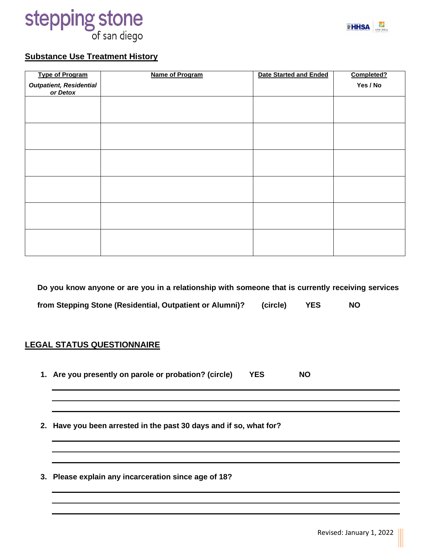



#### **Substance Use Treatment History**

| <b>Type of Program</b>                     | Name of Program | <b>Date Started and Ended</b> | Completed? |
|--------------------------------------------|-----------------|-------------------------------|------------|
| <b>Outpatient, Residential</b><br>or Detox |                 |                               | Yes / No   |
|                                            |                 |                               |            |
|                                            |                 |                               |            |
|                                            |                 |                               |            |
|                                            |                 |                               |            |
|                                            |                 |                               |            |
|                                            |                 |                               |            |
|                                            |                 |                               |            |
|                                            |                 |                               |            |
|                                            |                 |                               |            |
|                                            |                 |                               |            |
|                                            |                 |                               |            |
|                                            |                 |                               |            |

**Do you know anyone or are you in a relationship with someone that is currently receiving services from Stepping Stone (Residential, Outpatient or Alumni)? (circle) YES NO**

#### **LEGAL STATUS QUESTIONNAIRE**

- **1. Are you presently on parole or probation? (circle) YES NO**
- **2. Have you been arrested in the past 30 days and if so, what for?**
- **3. Please explain any incarceration since age of 18?**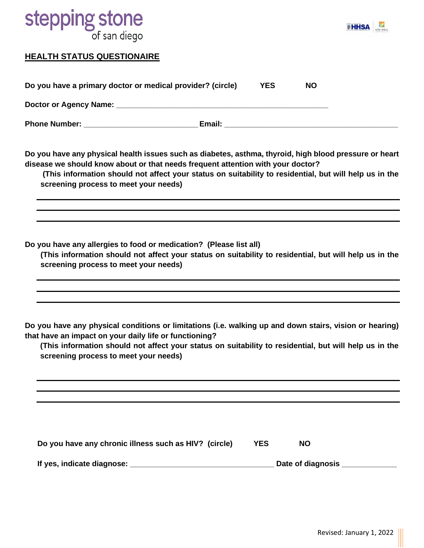## **stepping stone**<br>of san diego



#### **HEALTH STATUS QUESTIONAIRE**

| Do you have a primary doctor or medical provider? (circle) |        | YES | <b>NO</b> |
|------------------------------------------------------------|--------|-----|-----------|
| Doctor or Agency Name:                                     |        |     |           |
| <b>Phone Number:</b>                                       | Email: |     |           |

**Do you have any physical health issues such as diabetes, asthma, thyroid, high blood pressure or heart disease we should know about or that needs frequent attention with your doctor?**

**(This information should not affect your status on suitability to residential, but will help us in the screening process to meet your needs)**

**Do you have any allergies to food or medication? (Please list all)**

**(This information should not affect your status on suitability to residential, but will help us in the screening process to meet your needs)**

**Do you have any physical conditions or limitations (i.e. walking up and down stairs, vision or hearing) that have an impact on your daily life or functioning?**

**(This information should not affect your status on suitability to residential, but will help us in the screening process to meet your needs)**

| Do you have any chronic illness such as HIV? (circle) | <b>YES</b> | NO.               |  |
|-------------------------------------------------------|------------|-------------------|--|
| If yes, indicate diagnose:                            |            | Date of diagnosis |  |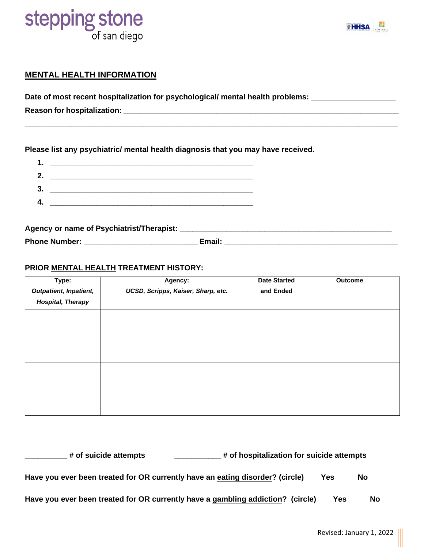# **stepping stone**



#### **MENTAL HEALTH INFORMATION**

Date of most recent hospitalization for psychological/ mental health problems: \_\_\_\_\_\_\_\_\_\_\_\_\_\_\_\_\_\_\_\_\_

**Reason for hospitalization: \_\_\_\_\_\_\_\_\_\_\_\_\_\_\_\_\_\_\_\_\_\_\_\_\_\_\_\_\_\_\_\_\_\_\_\_\_\_\_\_\_\_\_\_\_\_\_\_\_\_\_\_\_\_\_\_\_\_\_\_\_\_\_\_\_**

**Please list any psychiatric/ mental health diagnosis that you may have received.**

| 1. |  |
|----|--|
| 2. |  |
| 3. |  |
| 4. |  |
|    |  |

**Agency or name of Psychiatrist/Therapist: \_\_\_\_\_\_\_\_\_\_\_\_\_\_\_\_\_\_\_\_\_\_\_\_\_\_\_\_\_\_\_\_\_\_\_\_\_\_\_\_\_\_\_\_\_\_\_\_\_\_ Phone Number: \_\_\_\_\_\_\_\_\_\_\_\_\_\_\_\_\_\_\_\_\_\_\_\_\_\_\_Email: \_\_\_\_\_\_\_\_\_\_\_\_\_\_\_\_\_\_\_\_\_\_\_\_\_\_\_\_\_\_\_\_\_\_\_\_\_\_\_\_\_**

**\_\_\_\_\_\_\_\_\_\_\_\_\_\_\_\_\_\_\_\_\_\_\_\_\_\_\_\_\_\_\_\_\_\_\_\_\_\_\_\_\_\_\_\_\_\_\_\_\_\_\_\_\_\_\_\_\_\_\_\_\_\_\_\_\_\_\_\_\_\_\_\_\_\_\_\_\_\_\_\_\_\_\_\_\_\_\_\_**

#### **PRIOR MENTAL HEALTH TREATMENT HISTORY:**

| Type:                    | Agency:                            | <b>Date Started</b> | Outcome |
|--------------------------|------------------------------------|---------------------|---------|
| Outpatient, Inpatient,   | UCSD, Scripps, Kaiser, Sharp, etc. | and Ended           |         |
| <b>Hospital, Therapy</b> |                                    |                     |         |
|                          |                                    |                     |         |
|                          |                                    |                     |         |
|                          |                                    |                     |         |
|                          |                                    |                     |         |
|                          |                                    |                     |         |
|                          |                                    |                     |         |
|                          |                                    |                     |         |
|                          |                                    |                     |         |

| # of hospitalization for suicide attempts<br># of suicide attempts              |     |    |
|---------------------------------------------------------------------------------|-----|----|
| Have you ever been treated for OR currently have an eating disorder? (circle)   | Yes | No |
| Have you ever been treated for OR currently have a gambling addiction? (circle) | Yes | No |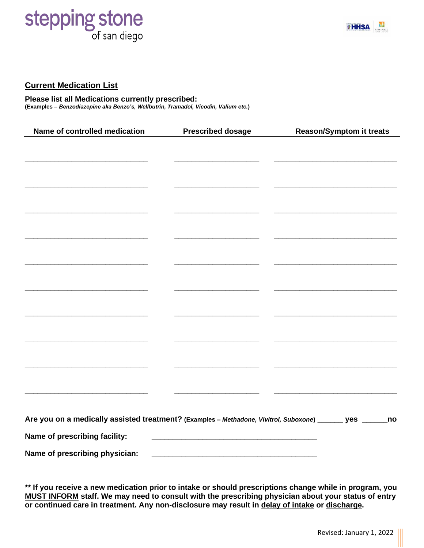# **stepping stone**



#### **Current Medication List**

**Please list all Medications currently prescribed: (Examples –** *Benzodiazepine aka Benzo's, Wellbutrin, Tramadol, Vicodin, Valium etc.***)** 

| Name of controlled medication                                                                             | <b>Prescribed dosage</b> | <b>Reason/Symptom it treats</b> |
|-----------------------------------------------------------------------------------------------------------|--------------------------|---------------------------------|
|                                                                                                           |                          |                                 |
|                                                                                                           |                          |                                 |
|                                                                                                           |                          |                                 |
|                                                                                                           |                          |                                 |
|                                                                                                           |                          |                                 |
|                                                                                                           |                          |                                 |
|                                                                                                           |                          |                                 |
|                                                                                                           |                          |                                 |
|                                                                                                           |                          |                                 |
|                                                                                                           |                          |                                 |
|                                                                                                           |                          |                                 |
|                                                                                                           |                          |                                 |
|                                                                                                           |                          |                                 |
|                                                                                                           |                          |                                 |
|                                                                                                           |                          |                                 |
|                                                                                                           |                          |                                 |
|                                                                                                           |                          |                                 |
|                                                                                                           |                          |                                 |
| Are you on a medically assisted treatment? (Examples - Methadone, Vivitrol, Suboxone) ______ yes ______no |                          |                                 |
| Name of prescribing facility:                                                                             |                          |                                 |
| Name of prescribing physician:                                                                            |                          |                                 |

**\*\* If you receive a new medication prior to intake or should prescriptions change while in program, you MUST INFORM staff. We may need to consult with the prescribing physician about your status of entry or continued care in treatment. Any non-disclosure may result in delay of intake or discharge.**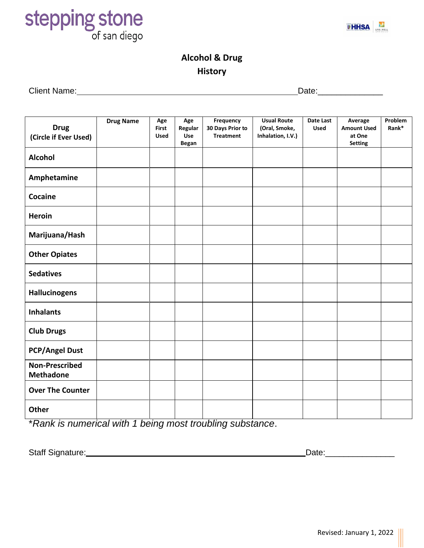



#### **Alcohol & Drug History**

Client Name: Date:\_\_\_\_\_\_\_\_\_\_\_\_\_\_

| <b>Drug</b><br>(Circle if Ever Used)      | <b>Drug Name</b> | Age<br>First<br><b>Used</b> | Age<br>Regular<br>Use<br><b>Began</b> | Frequency<br>30 Days Prior to<br><b>Treatment</b> | <b>Usual Route</b><br>(Oral, Smoke,<br>Inhalation, I.V.) | Date Last<br><b>Used</b> | Average<br><b>Amount Used</b><br>at One<br><b>Setting</b> | Problem<br>Rank* |
|-------------------------------------------|------------------|-----------------------------|---------------------------------------|---------------------------------------------------|----------------------------------------------------------|--------------------------|-----------------------------------------------------------|------------------|
| <b>Alcohol</b>                            |                  |                             |                                       |                                                   |                                                          |                          |                                                           |                  |
| Amphetamine                               |                  |                             |                                       |                                                   |                                                          |                          |                                                           |                  |
| Cocaine                                   |                  |                             |                                       |                                                   |                                                          |                          |                                                           |                  |
| <b>Heroin</b>                             |                  |                             |                                       |                                                   |                                                          |                          |                                                           |                  |
| Marijuana/Hash                            |                  |                             |                                       |                                                   |                                                          |                          |                                                           |                  |
| <b>Other Opiates</b>                      |                  |                             |                                       |                                                   |                                                          |                          |                                                           |                  |
| <b>Sedatives</b>                          |                  |                             |                                       |                                                   |                                                          |                          |                                                           |                  |
| <b>Hallucinogens</b>                      |                  |                             |                                       |                                                   |                                                          |                          |                                                           |                  |
| <b>Inhalants</b>                          |                  |                             |                                       |                                                   |                                                          |                          |                                                           |                  |
| <b>Club Drugs</b>                         |                  |                             |                                       |                                                   |                                                          |                          |                                                           |                  |
| <b>PCP/Angel Dust</b>                     |                  |                             |                                       |                                                   |                                                          |                          |                                                           |                  |
| <b>Non-Prescribed</b><br><b>Methadone</b> |                  |                             |                                       |                                                   |                                                          |                          |                                                           |                  |
| <b>Over The Counter</b>                   |                  |                             |                                       |                                                   |                                                          |                          |                                                           |                  |
| Other                                     |                  |                             |                                       |                                                   |                                                          |                          |                                                           |                  |

\**Rank is numerical with 1 being most troubling substance*.

Staff Signature:**\_\_\_\_\_\_\_\_\_\_\_\_\_\_\_\_\_\_\_\_\_\_\_\_\_\_\_\_\_\_\_\_\_\_\_\_\_\_\_\_\_\_\_\_** Date:\_\_\_\_\_\_\_\_\_\_\_\_\_\_\_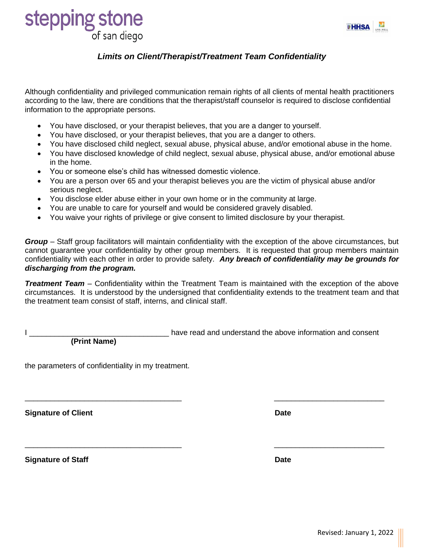

### stepping stone of san diego

#### *Limits on Client/Therapist/Treatment Team Confidentiality*

Although confidentiality and privileged communication remain rights of all clients of mental health practitioners according to the law, there are conditions that the therapist/staff counselor is required to disclose confidential information to the appropriate persons.

- You have disclosed, or your therapist believes, that you are a danger to yourself.
- You have disclosed, or your therapist believes, that you are a danger to others.
- You have disclosed child neglect, sexual abuse, physical abuse, and/or emotional abuse in the home.
- You have disclosed knowledge of child neglect, sexual abuse, physical abuse, and/or emotional abuse in the home.
- You or someone else's child has witnessed domestic violence.
- You are a person over 65 and your therapist believes you are the victim of physical abuse and/or serious neglect.
- You disclose elder abuse either in your own home or in the community at large.
- You are unable to care for yourself and would be considered gravely disabled.
- You waive your rights of privilege or give consent to limited disclosure by your therapist.

*Group* – Staff group facilitators will maintain confidentiality with the exception of the above circumstances, but cannot guarantee your confidentiality by other group members. It is requested that group members maintain confidentiality with each other in order to provide safety. *Any breach of confidentiality may be grounds for discharging from the program.*

*Treatment Team* – Confidentiality within the Treatment Team is maintained with the exception of the above circumstances. It is understood by the undersigned that confidentiality extends to the treatment team and that the treatment team consist of staff, interns, and clinical staff.

\_\_\_\_\_\_\_\_\_\_\_\_\_\_\_\_\_\_\_\_\_\_\_\_\_\_\_\_\_\_\_\_\_\_\_\_\_ \_\_\_\_\_\_\_\_\_\_\_\_\_\_\_\_\_\_\_\_\_\_\_\_\_\_

\_\_\_\_\_\_\_\_\_\_\_\_\_\_\_\_\_\_\_\_\_\_\_\_\_\_\_\_\_\_\_\_\_\_\_\_\_ \_\_\_\_\_\_\_\_\_\_\_\_\_\_\_\_\_\_\_\_\_\_\_\_\_\_

 **(Print Name)**

I constant in the state of the state of the above information and consent

the parameters of confidentiality in my treatment.

**Signature of Client Community Community Community Community Community Community Community Community Community** 

**Signature of Staff Date**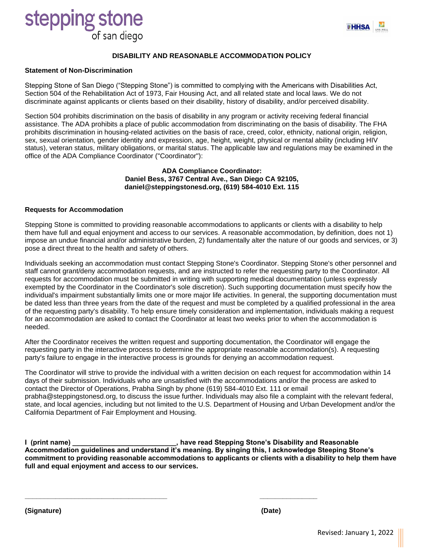### stepping stone of san diego



#### **Statement of Non-Discrimination**

Stepping Stone of San Diego ("Stepping Stone") is committed to complying with the Americans with Disabilities Act, Section 504 of the Rehabilitation Act of 1973, Fair Housing Act, and all related state and local laws. We do not discriminate against applicants or clients based on their disability, history of disability, and/or perceived disability.

Section 504 prohibits discrimination on the basis of disability in any program or activity receiving federal financial assistance. The ADA prohibits a place of public accommodation from discriminating on the basis of disability. The FHA prohibits discrimination in housing-related activities on the basis of race, creed, color, ethnicity, national origin, religion, sex, sexual orientation, gender identity and expression, age, height, weight, physical or mental ability (including HIV status), veteran status, military obligations, or marital status. The applicable law and regulations may be examined in the office of the ADA Compliance Coordinator ("Coordinator"):

#### **ADA Compliance Coordinator: Daniel Bess, 3767 Central Ave., San Diego CA 92105, daniel@steppingstonesd.org, (619) 584-4010 Ext. 115**

#### **Requests for Accommodation**

Stepping Stone is committed to providing reasonable accommodations to applicants or clients with a disability to help them have full and equal enjoyment and access to our services. A reasonable accommodation, by definition, does not 1) impose an undue financial and/or administrative burden, 2) fundamentally alter the nature of our goods and services, or 3) pose a direct threat to the health and safety of others.

Individuals seeking an accommodation must contact Stepping Stone's Coordinator. Stepping Stone's other personnel and staff cannot grant/deny accommodation requests, and are instructed to refer the requesting party to the Coordinator. All requests for accommodation must be submitted in writing with supporting medical documentation (unless expressly exempted by the Coordinator in the Coordinator's sole discretion). Such supporting documentation must specify how the individual's impairment substantially limits one or more major life activities. In general, the supporting documentation must be dated less than three years from the date of the request and must be completed by a qualified professional in the area of the requesting party's disability. To help ensure timely consideration and implementation, individuals making a request for an accommodation are asked to contact the Coordinator at least two weeks prior to when the accommodation is needed.

After the Coordinator receives the written request and supporting documentation, the Coordinator will engage the requesting party in the interactive process to determine the appropriate reasonable accommodation(s). A requesting party's failure to engage in the interactive process is grounds for denying an accommodation request.

The Coordinator will strive to provide the individual with a written decision on each request for accommodation within 14 days of their submission. Individuals who are unsatisfied with the accommodations and/or the process are asked to contact the Director of Operations, Prabha Singh by phone (619) 584-4010 Ext. 111 or email prabha@steppingstonesd.org, to discuss the issue further. Individuals may also file a complaint with the relevant federal, state, and local agencies, including but not limited to the U.S. Department of Housing and Urban Development and/or the California Department of Fair Employment and Housing.

**I (print name) \_\_\_\_\_\_\_\_\_\_\_\_\_\_\_\_\_\_\_\_\_\_\_\_\_\_\_, have read Stepping Stone's Disability and Reasonable Accommodation guidelines and understand it's meaning. By singing this, I acknowledge Steeping Stone's commitment to providing reasonable accommodations to applicants or clients with a disability to help them have full and equal enjoyment and access to our services.**

**\_\_\_\_\_\_\_\_\_\_\_\_\_\_\_\_\_\_\_\_\_\_\_\_\_\_\_\_\_\_\_\_\_\_\_\_\_ \_\_\_\_\_\_\_\_\_\_\_\_\_\_\_**